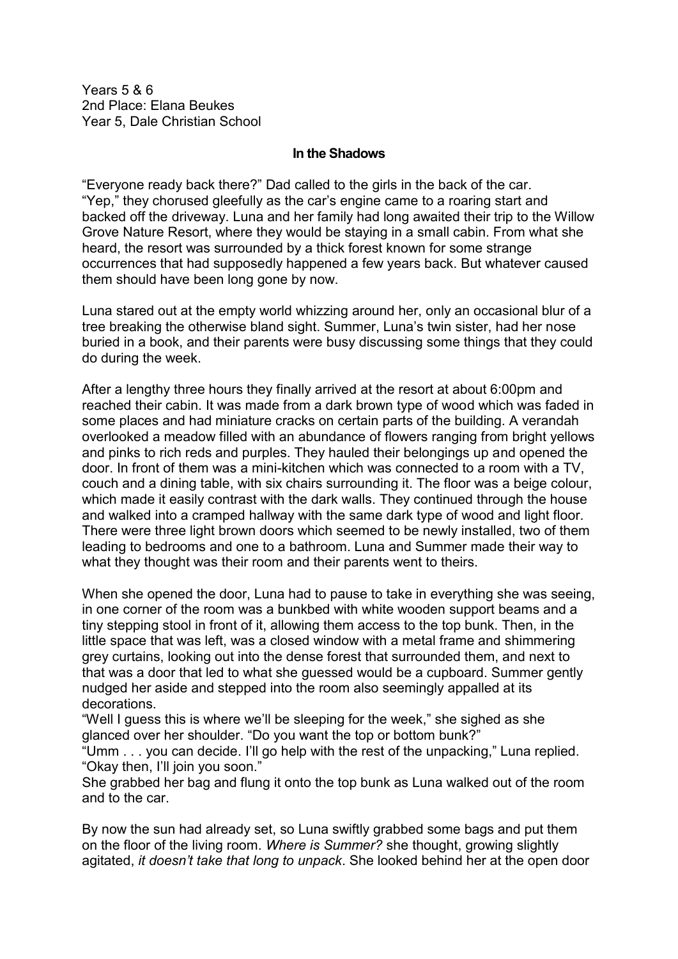Years 5 & 6 2nd Place: Elana Beukes Year 5, Dale Christian School

## **In the Shadows**

"Everyone ready back there?" Dad called to the girls in the back of the car. "Yep," they chorused gleefully as the car's engine came to a roaring start and backed off the driveway. Luna and her family had long awaited their trip to the Willow Grove Nature Resort, where they would be staying in a small cabin. From what she heard, the resort was surrounded by a thick forest known for some strange occurrences that had supposedly happened a few years back. But whatever caused them should have been long gone by now.

Luna stared out at the empty world whizzing around her, only an occasional blur of a tree breaking the otherwise bland sight. Summer, Luna's twin sister, had her nose buried in a book, and their parents were busy discussing some things that they could do during the week.

After a lengthy three hours they finally arrived at the resort at about 6:00pm and reached their cabin. It was made from a dark brown type of wood which was faded in some places and had miniature cracks on certain parts of the building. A verandah overlooked a meadow filled with an abundance of flowers ranging from bright yellows and pinks to rich reds and purples. They hauled their belongings up and opened the door. In front of them was a mini-kitchen which was connected to a room with a TV, couch and a dining table, with six chairs surrounding it. The floor was a beige colour, which made it easily contrast with the dark walls. They continued through the house and walked into a cramped hallway with the same dark type of wood and light floor. There were three light brown doors which seemed to be newly installed, two of them leading to bedrooms and one to a bathroom. Luna and Summer made their way to what they thought was their room and their parents went to theirs.

When she opened the door, Luna had to pause to take in everything she was seeing, in one corner of the room was a bunkbed with white wooden support beams and a tiny stepping stool in front of it, allowing them access to the top bunk. Then, in the little space that was left, was a closed window with a metal frame and shimmering grey curtains, looking out into the dense forest that surrounded them, and next to that was a door that led to what she guessed would be a cupboard. Summer gently nudged her aside and stepped into the room also seemingly appalled at its decorations.

"Well I guess this is where we'll be sleeping for the week," she sighed as she glanced over her shoulder. "Do you want the top or bottom bunk?"

"Umm . . . you can decide. I'll go help with the rest of the unpacking," Luna replied. "Okay then, I'll join you soon."

She grabbed her bag and flung it onto the top bunk as Luna walked out of the room and to the car.

By now the sun had already set, so Luna swiftly grabbed some bags and put them on the floor of the living room. *Where is Summer?* she thought, growing slightly agitated, *it doesn't take that long to unpack*. She looked behind her at the open door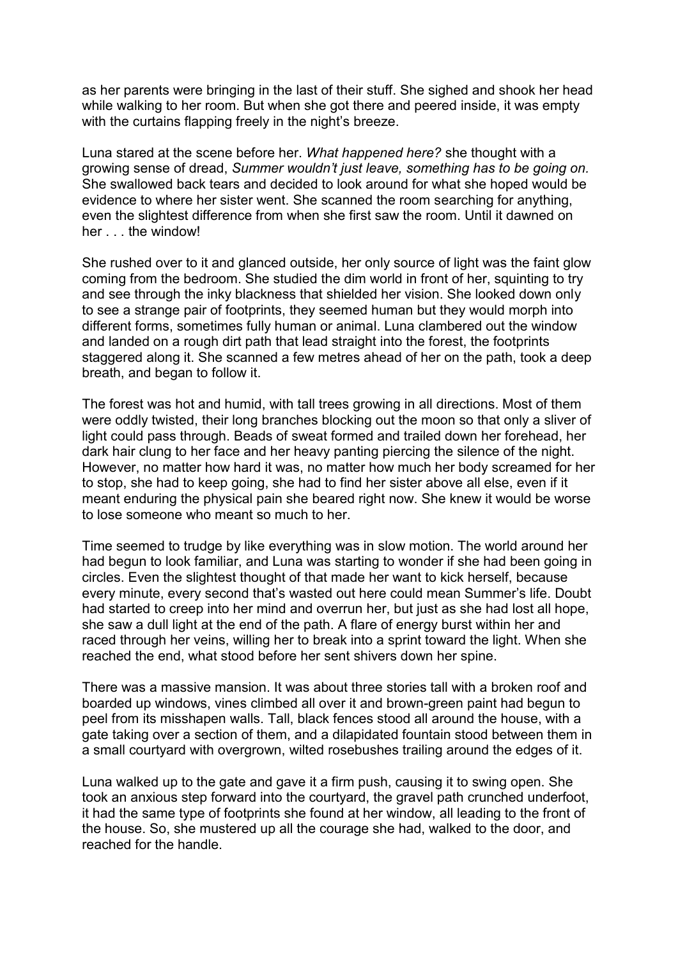as her parents were bringing in the last of their stuff. She sighed and shook her head while walking to her room. But when she got there and peered inside, it was empty with the curtains flapping freely in the night's breeze.

Luna stared at the scene before her. *What happened here?* she thought with a growing sense of dread, *Summer wouldn't just leave, something has to be going on.*  She swallowed back tears and decided to look around for what she hoped would be evidence to where her sister went. She scanned the room searching for anything, even the slightest difference from when she first saw the room. Until it dawned on her . . . the window!

She rushed over to it and glanced outside, her only source of light was the faint glow coming from the bedroom. She studied the dim world in front of her, squinting to try and see through the inky blackness that shielded her vision. She looked down only to see a strange pair of footprints, they seemed human but they would morph into different forms, sometimes fully human or animal. Luna clambered out the window and landed on a rough dirt path that lead straight into the forest, the footprints staggered along it. She scanned a few metres ahead of her on the path, took a deep breath, and began to follow it.

The forest was hot and humid, with tall trees growing in all directions. Most of them were oddly twisted, their long branches blocking out the moon so that only a sliver of light could pass through. Beads of sweat formed and trailed down her forehead, her dark hair clung to her face and her heavy panting piercing the silence of the night. However, no matter how hard it was, no matter how much her body screamed for her to stop, she had to keep going, she had to find her sister above all else, even if it meant enduring the physical pain she beared right now. She knew it would be worse to lose someone who meant so much to her.

Time seemed to trudge by like everything was in slow motion. The world around her had begun to look familiar, and Luna was starting to wonder if she had been going in circles. Even the slightest thought of that made her want to kick herself, because every minute, every second that's wasted out here could mean Summer's life. Doubt had started to creep into her mind and overrun her, but just as she had lost all hope, she saw a dull light at the end of the path. A flare of energy burst within her and raced through her veins, willing her to break into a sprint toward the light. When she reached the end, what stood before her sent shivers down her spine.

There was a massive mansion. It was about three stories tall with a broken roof and boarded up windows, vines climbed all over it and brown-green paint had begun to peel from its misshapen walls. Tall, black fences stood all around the house, with a gate taking over a section of them, and a dilapidated fountain stood between them in a small courtyard with overgrown, wilted rosebushes trailing around the edges of it.

Luna walked up to the gate and gave it a firm push, causing it to swing open. She took an anxious step forward into the courtyard, the gravel path crunched underfoot, it had the same type of footprints she found at her window, all leading to the front of the house. So, she mustered up all the courage she had, walked to the door, and reached for the handle.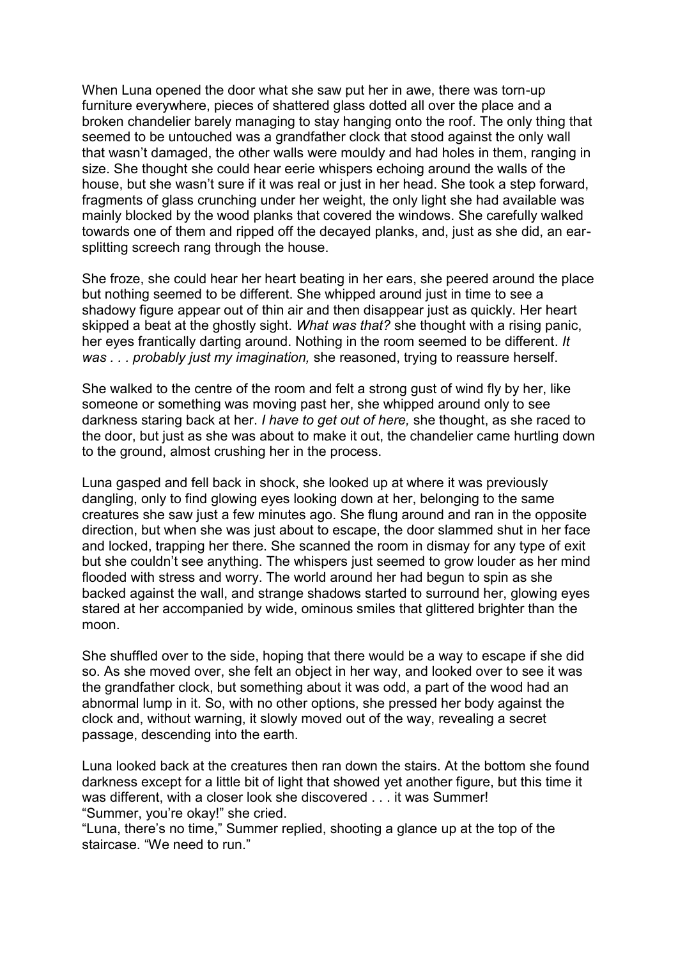When Luna opened the door what she saw put her in awe, there was torn-up furniture everywhere, pieces of shattered glass dotted all over the place and a broken chandelier barely managing to stay hanging onto the roof. The only thing that seemed to be untouched was a grandfather clock that stood against the only wall that wasn't damaged, the other walls were mouldy and had holes in them, ranging in size. She thought she could hear eerie whispers echoing around the walls of the house, but she wasn't sure if it was real or just in her head. She took a step forward, fragments of glass crunching under her weight, the only light she had available was mainly blocked by the wood planks that covered the windows. She carefully walked towards one of them and ripped off the decayed planks, and, just as she did, an earsplitting screech rang through the house.

She froze, she could hear her heart beating in her ears, she peered around the place but nothing seemed to be different. She whipped around just in time to see a shadowy figure appear out of thin air and then disappear just as quickly. Her heart skipped a beat at the ghostly sight. *What was that?* she thought with a rising panic, her eyes frantically darting around. Nothing in the room seemed to be different. *It was . . . probably just my imagination,* she reasoned, trying to reassure herself.

She walked to the centre of the room and felt a strong gust of wind fly by her, like someone or something was moving past her, she whipped around only to see darkness staring back at her. *I have to get out of here,* she thought, as she raced to the door, but just as she was about to make it out, the chandelier came hurtling down to the ground, almost crushing her in the process.

Luna gasped and fell back in shock, she looked up at where it was previously dangling, only to find glowing eyes looking down at her, belonging to the same creatures she saw just a few minutes ago. She flung around and ran in the opposite direction, but when she was just about to escape, the door slammed shut in her face and locked, trapping her there. She scanned the room in dismay for any type of exit but she couldn't see anything. The whispers just seemed to grow louder as her mind flooded with stress and worry. The world around her had begun to spin as she backed against the wall, and strange shadows started to surround her, glowing eyes stared at her accompanied by wide, ominous smiles that glittered brighter than the moon.

She shuffled over to the side, hoping that there would be a way to escape if she did so. As she moved over, she felt an object in her way, and looked over to see it was the grandfather clock, but something about it was odd, a part of the wood had an abnormal lump in it. So, with no other options, she pressed her body against the clock and, without warning, it slowly moved out of the way, revealing a secret passage, descending into the earth.

Luna looked back at the creatures then ran down the stairs. At the bottom she found darkness except for a little bit of light that showed yet another figure, but this time it was different, with a closer look she discovered . . . it was Summer! "Summer, you're okay!" she cried.

"Luna, there's no time," Summer replied, shooting a glance up at the top of the staircase. "We need to run."